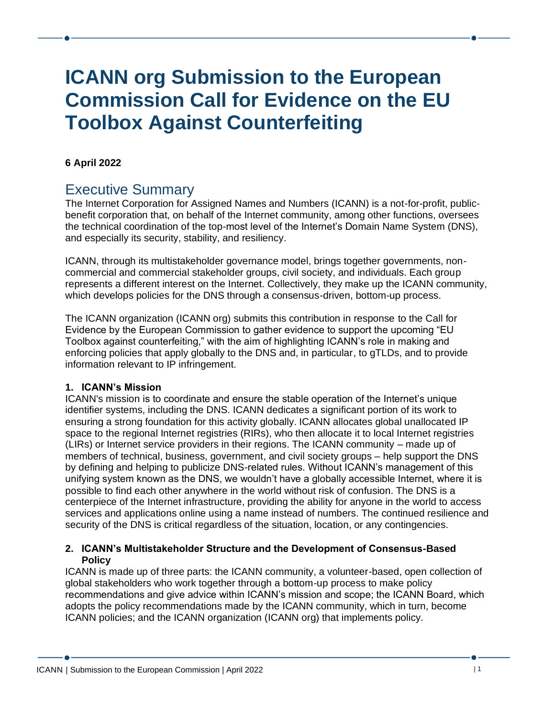# **ICANN org Submission to the European Commission Call for Evidence on the EU Toolbox Against Counterfeiting**

## **6 April 2022**

# Executive Summary

The Internet Corporation for Assigned Names and Numbers (ICANN) is a not-for-profit, publicbenefit corporation that, on behalf of the Internet community, among other functions, oversees the technical coordination of the top-most level of the Internet's Domain Name System (DNS), and especially its security, stability, and resiliency.

ICANN, through its multistakeholder governance model, brings together governments, noncommercial and commercial stakeholder groups, civil society, and individuals. Each group represents a different interest on the Internet. Collectively, they make up the ICANN community, which develops policies for the DNS through a consensus-driven, bottom-up process.

The ICANN organization (ICANN org) submits this contribution in response to the Call for Evidence by the European Commission to gather evidence to support the upcoming "EU Toolbox against counterfeiting," with the aim of highlighting ICANN's role in making and enforcing policies that apply globally to the DNS and, in particular, to gTLDs, and to provide information relevant to IP infringement.

#### **1. ICANN's Mission**

ICANN's mission is to coordinate and ensure the stable operation of the Internet's unique identifier systems, including the DNS. ICANN dedicates a significant portion of its work to ensuring a strong foundation for this activity globally. ICANN allocates global unallocated IP space to the regional Internet registries (RIRs), who then allocate it to local Internet registries (LIRs) or Internet service providers in their regions. The ICANN community – made up of members of technical, business, government, and civil society groups – help support the DNS by defining and helping to publicize DNS-related rules. Without ICANN's management of this unifying system known as the DNS, we wouldn't have a globally accessible Internet, where it is possible to find each other anywhere in the world without risk of confusion. The DNS is a centerpiece of the Internet infrastructure, providing the ability for anyone in the world to access services and applications online using a name instead of numbers. The continued resilience and security of the DNS is critical regardless of the situation, location, or any contingencies.

#### **2. ICANN's Multistakeholder Structure and the Development of Consensus-Based Policy**

ICANN is made up of three parts: the ICANN community, a volunteer-based, open collection of global stakeholders who work together through a bottom-up process to make policy recommendations and give advice within ICANN's mission and scope; the ICANN Board, which adopts the policy recommendations made by the ICANN community, which in turn, become ICANN policies; and the ICANN organization (ICANN org) that implements policy.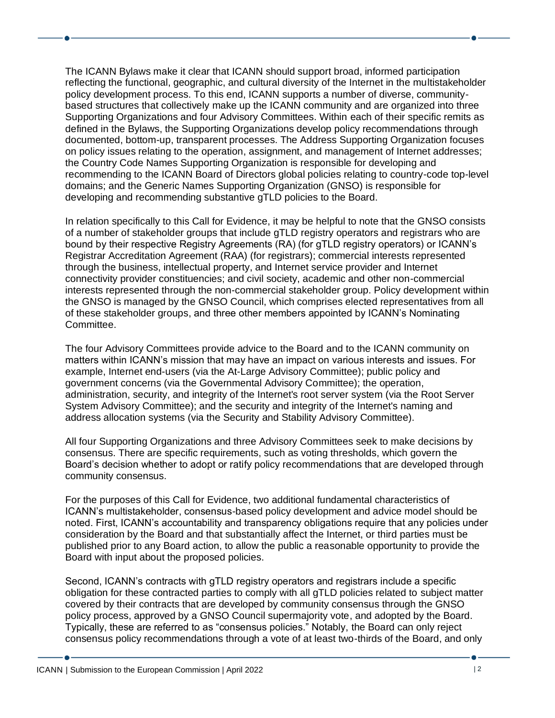The ICANN Bylaws make it clear that ICANN should support broad, informed participation reflecting the functional, geographic, and cultural diversity of the Internet in the multistakeholder policy development process. To this end, ICANN supports a number of diverse, communitybased structures that collectively make up the ICANN community and are organized into three Supporting Organizations and four Advisory Committees. Within each of their specific remits as defined in the Bylaws, the Supporting Organizations develop policy recommendations through documented, bottom-up, transparent processes. The Address Supporting Organization focuses on policy issues relating to the operation, assignment, and management of Internet addresses; the Country Code Names Supporting Organization is responsible for developing and recommending to the ICANN Board of Directors global policies relating to country-code top-level domains; and the Generic Names Supporting Organization (GNSO) is responsible for developing and recommending substantive gTLD policies to the Board.

In relation specifically to this Call for Evidence, it may be helpful to note that the GNSO consists of a number of stakeholder groups that include gTLD registry operators and registrars who are bound by their respective Registry Agreements (RA) (for gTLD registry operators) or ICANN's Registrar Accreditation Agreement (RAA) (for registrars); commercial interests represented through the business, intellectual property, and Internet service provider and Internet connectivity provider constituencies; and civil society, academic and other non-commercial interests represented through the non-commercial stakeholder group. Policy development within the GNSO is managed by the GNSO Council, which comprises elected representatives from all of these stakeholder groups, and three other members appointed by ICANN's Nominating Committee.

The four Advisory Committees provide advice to the Board and to the ICANN community on matters within ICANN's mission that may have an impact on various interests and issues. For example, Internet end-users (via the At-Large Advisory Committee); public policy and government concerns (via the Governmental Advisory Committee); the operation, administration, security, and integrity of the Internet's root server system (via the Root Server System Advisory Committee); and the security and integrity of the Internet's naming and address allocation systems (via the Security and Stability Advisory Committee).

All four Supporting Organizations and three Advisory Committees seek to make decisions by consensus. There are specific requirements, such as voting thresholds, which govern the Board's decision whether to adopt or ratify policy recommendations that are developed through community consensus.

For the purposes of this Call for Evidence, two additional fundamental characteristics of ICANN's multistakeholder, consensus-based policy development and advice model should be noted. First, ICANN's accountability and transparency obligations require that any policies under consideration by the Board and that substantially affect the Internet, or third parties must be published prior to any Board action, to allow the public a reasonable opportunity to provide the Board with input about the proposed policies.

Second, ICANN's contracts with gTLD registry operators and registrars include a specific obligation for these contracted parties to comply with all gTLD policies related to subject matter covered by their contracts that are developed by community consensus through the GNSO policy process, approved by a GNSO Council supermajority vote, and adopted by the Board. Typically, these are referred to as "consensus policies." Notably, the Board can only reject consensus policy recommendations through a vote of at least two-thirds of the Board, and only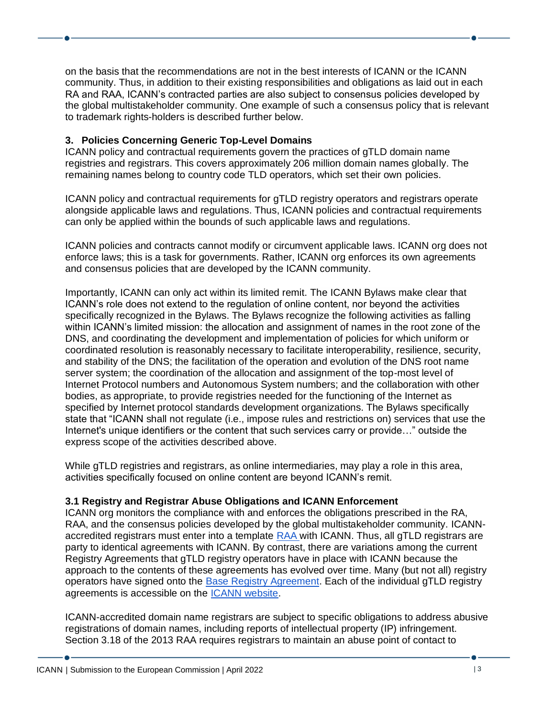on the basis that the recommendations are not in the best interests of ICANN or the ICANN community. Thus, in addition to their existing responsibilities and obligations as laid out in each RA and RAA, ICANN's contracted parties are also subject to consensus policies developed by the global multistakeholder community. One example of such a consensus policy that is relevant to trademark rights-holders is described further below.

### **3. Policies Concerning Generic Top-Level Domains**

ICANN policy and contractual requirements govern the practices of gTLD domain name registries and registrars. This covers approximately 206 million domain names globally. The remaining names belong to country code TLD operators, which set their own policies.

ICANN policy and contractual requirements for gTLD registry operators and registrars operate alongside applicable laws and regulations. Thus, ICANN policies and contractual requirements can only be applied within the bounds of such applicable laws and regulations.

ICANN policies and contracts cannot modify or circumvent applicable laws. ICANN org does not enforce laws; this is a task for governments. Rather, ICANN org enforces its own agreements and consensus policies that are developed by the ICANN community.

Importantly, ICANN can only act within its limited remit. The ICANN Bylaws make clear that ICANN's role does not extend to the regulation of online content, nor beyond the activities specifically recognized in the Bylaws. The Bylaws recognize the following activities as falling within ICANN's limited mission: the allocation and assignment of names in the root zone of the DNS, and coordinating the development and implementation of policies for which uniform or coordinated resolution is reasonably necessary to facilitate interoperability, resilience, security, and stability of the DNS; the facilitation of the operation and evolution of the DNS root name server system; the coordination of the allocation and assignment of the top-most level of Internet Protocol numbers and Autonomous System numbers; and the collaboration with other bodies, as appropriate, to provide registries needed for the functioning of the Internet as specified by Internet protocol standards development organizations. The Bylaws specifically state that "ICANN shall not regulate (i.e., impose rules and restrictions on) services that use the Internet's unique identifiers or the content that such services carry or provide…" outside the express scope of the activities described above.

While gTLD registries and registrars, as online intermediaries, may play a role in this area, activities specifically focused on online content are beyond ICANN's remit.

#### **3.1 Registry and Registrar Abuse Obligations and ICANN Enforcement**

ICANN org monitors the compliance with and enforces the obligations prescribed in the RA, RAA, and the consensus policies developed by the global multistakeholder community. ICANN-accredited registrars must enter into a template [RAA](https://www.icann.org/resources/pages/approved-with-specs-2013-09-17-en#raa) with ICANN. Thus, all gTLD registrars are party to identical agreements with ICANN. By contrast, there are variations among the current Registry Agreements that gTLD registry operators have in place with ICANN because the approach to the contents of these agreements has evolved over time. Many (but not all) registry operators have signed onto the [Base Registry Agreement.](https://www.icann.org/en/registry-agreements/base-agreement) Each of the individual gTLD registry agreements is accessible on the [ICANN website.](https://www.icann.org/en/registry-agreements?first-letter=a&sort-column=top-level-domain&sort-direction=asc&page=1)

ICANN-accredited domain name registrars are subject to specific obligations to address abusive registrations of domain names, including reports of intellectual property (IP) infringement. Section 3.18 of the 2013 RAA requires registrars to maintain an abuse point of contact to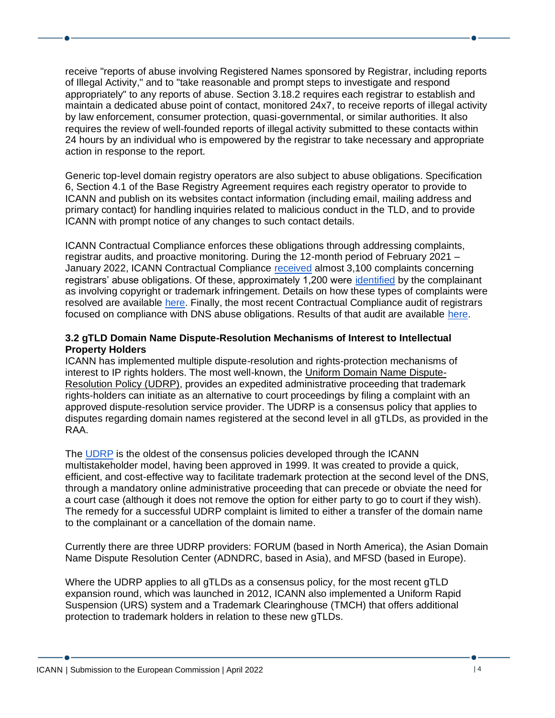receive "reports of abuse involving Registered Names sponsored by Registrar, including reports of Illegal Activity," and to "take reasonable and prompt steps to investigate and respond appropriately" to any reports of abuse. Section 3.18.2 requires each registrar to establish and maintain a dedicated abuse point of contact, monitored 24x7, to receive reports of illegal activity by law enforcement, consumer protection, quasi-governmental, or similar authorities. It also requires the review of well-founded reports of illegal activity submitted to these contacts within 24 hours by an individual who is empowered by the registrar to take necessary and appropriate action in response to the report.

Generic top-level domain registry operators are also subject to abuse obligations. Specification 6, Section 4.1 of the Base Registry Agreement requires each registry operator to provide to ICANN and publish on its websites contact information (including email, mailing address and primary contact) for handling inquiries related to malicious conduct in the TLD, and to provide ICANN with prompt notice of any changes to such contact details.

ICANN Contractual Compliance enforces these obligations through addressing complaints, registrar audits, and proactive monitoring. During the 12-month period of February 2021 – January 2022, ICANN Contractual Compliance [received](https://features.icann.org/compliance/dashboard/2022/0122/top-5-by-volume) almost 3,100 complaints concerning registrars' abuse obligations. Of these, approximately 1,200 were [identified](https://features.icann.org/compliance/dashboard/2022/0122/obligations-detail) by the complainant as involving copyright or trademark infringement. Details on how these types of complaints were resolved are available [here.](https://features.icann.org/compliance/dashboard/2022/0122/obligations-detail) Finally, the most recent Contractual Compliance audit of registrars focused on compliance with DNS abuse obligations. Results of that audit are available [here.](https://www.icann.org/en/announcements/details/results-of-the-audit-on-registrars-compliance-with-dns-abuse-obligations-24-8-2021-en)

#### **3.2 gTLD Domain Name Dispute-Resolution Mechanisms of Interest to Intellectual Property Holders**

ICANN has implemented multiple dispute-resolution and rights-protection mechanisms of interest to IP rights holders. The most well-known, the [Uniform Domain Name Dispute-](https://www.icann.org/resources/pages/help/dndr/udrp-en)[Resolution Policy \(UDRP\),](https://www.icann.org/resources/pages/help/dndr/udrp-en) provides an expedited administrative proceeding that trademark rights-holders can initiate as an alternative to court proceedings by filing a complaint with an approved dispute-resolution service provider. The UDRP is a consensus policy that applies to disputes regarding domain names registered at the second level in all gTLDs, as provided in the RAA.

The UDRP is the oldest of the consensus policies developed through the ICANN multistakeholder model, having been approved in 1999. It was created to provide a quick, efficient, and cost-effective way to facilitate trademark protection at the second level of the DNS, through a mandatory online administrative proceeding that can precede or obviate the need for a court case (although it does not remove the option for either party to go to court if they wish). The remedy for a successful UDRP complaint is limited to either a transfer of the domain name to the complainant or a cancellation of the domain name.

Currently there are three UDRP providers: FORUM (based in North America), the Asian Domain Name Dispute Resolution Center (ADNDRC, based in Asia), and MFSD (based in Europe).

Where the UDRP applies to all gTLDs as a consensus policy, for the most recent gTLD expansion round, which was launched in 2012, ICANN also implemented a Uniform Rapid Suspension (URS) system and a Trademark Clearinghouse (TMCH) that offers additional protection to trademark holders in relation to these new gTLDs.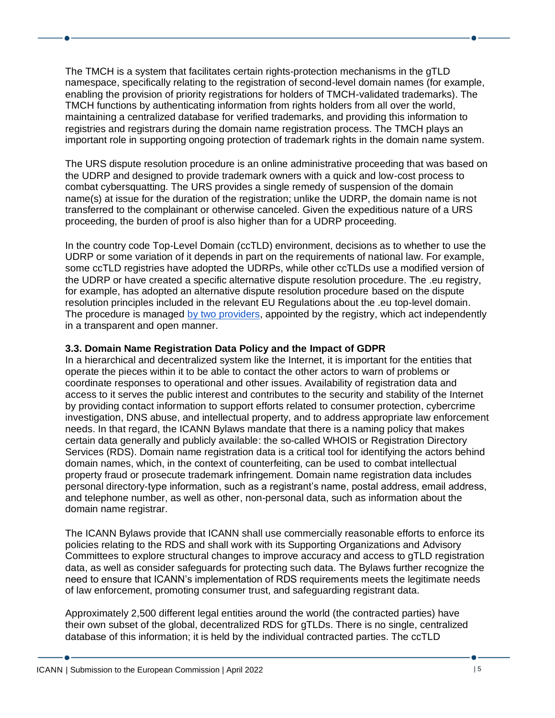The TMCH is a system that facilitates certain rights-protection mechanisms in the gTLD namespace, specifically relating to the registration of second-level domain names (for example, enabling the provision of priority registrations for holders of TMCH-validated trademarks). The TMCH functions by authenticating information from rights holders from all over the world, maintaining a centralized database for verified trademarks, and providing this information to registries and registrars during the domain name registration process. The TMCH plays an important role in supporting ongoing protection of trademark rights in the domain name system.

The URS dispute resolution procedure is an online administrative proceeding that was based on the UDRP and designed to provide trademark owners with a quick and low-cost process to combat cybersquatting. The URS provides a single remedy of suspension of the domain name(s) at issue for the duration of the registration; unlike the UDRP, the domain name is not transferred to the complainant or otherwise canceled. Given the expeditious nature of a URS proceeding, the burden of proof is also higher than for a UDRP proceeding.

In the country code Top-Level Domain (ccTLD) environment, decisions as to whether to use the UDRP or some variation of it depends in part on the requirements of national law. For example, some ccTLD registries have adopted the UDRPs, while other ccTLDs use a modified version of the UDRP or have created a specific alternative dispute resolution procedure. The .eu registry, for example, has adopted an alternative dispute resolution procedure based on the dispute resolution principles included in the relevant EU Regulations about the .eu top-level domain. The procedure is managed [by two providers,](https://eurid.eu/en/register-a-eu-domain/domain-name-disputes/) appointed by the registry, which act independently in a transparent and open manner.

#### **3.3. Domain Name Registration Data Policy and the Impact of GDPR**

In a hierarchical and decentralized system like the Internet, it is important for the entities that operate the pieces within it to be able to contact the other actors to warn of problems or coordinate responses to operational and other issues. Availability of registration data and access to it serves the public interest and contributes to the security and stability of the Internet by providing contact information to support efforts related to consumer protection, cybercrime investigation, DNS abuse, and intellectual property, and to address appropriate law enforcement needs. In that regard, the ICANN Bylaws mandate that there is a naming policy that makes certain data generally and publicly available: the so-called WHOIS or Registration Directory Services (RDS). Domain name registration data is a critical tool for identifying the actors behind domain names, which, in the context of counterfeiting, can be used to combat intellectual property fraud or prosecute trademark infringement. Domain name registration data includes personal directory-type information, such as a registrant's name, postal address, email address, and telephone number, as well as other, non-personal data, such as information about the domain name registrar.

The ICANN Bylaws provide that ICANN shall use commercially reasonable efforts to enforce its policies relating to the RDS and shall work with its Supporting Organizations and Advisory Committees to explore structural changes to improve accuracy and access to gTLD registration data, as well as consider safeguards for protecting such data. The Bylaws further recognize the need to ensure that ICANN's implementation of RDS requirements meets the legitimate needs of law enforcement, promoting consumer trust, and safeguarding registrant data.

Approximately 2,500 different legal entities around the world (the contracted parties) have their own subset of the global, decentralized RDS for gTLDs. There is no single, centralized database of this information; it is held by the individual contracted parties. The ccTLD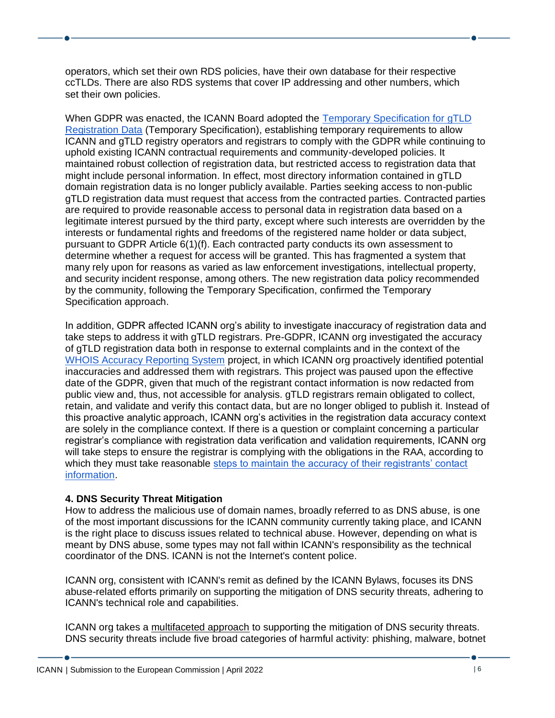operators, which set their own RDS policies, have their own database for their respective ccTLDs. There are also RDS systems that cover IP addressing and other numbers, which set their own policies.

When GDPR was enacted, the ICANN Board adopted the [Temporary Specification for](https://www.icann.org/resources/pages/gtld-registration-data-specs-en/#appendixA) gTLD [Registration Data](https://www.icann.org/resources/pages/gtld-registration-data-specs-en/#appendixA) (Temporary Specification), establishing temporary requirements to allow ICANN and gTLD registry operators and registrars to comply with the GDPR while continuing to uphold existing ICANN contractual requirements and community-developed policies. It maintained robust collection of registration data, but restricted access to registration data that might include personal information. In effect, most directory information contained in gTLD domain registration data is no longer publicly available. Parties seeking access to non-public gTLD registration data must request that access from the contracted parties. Contracted parties are required to provide reasonable access to personal data in registration data based on a legitimate interest pursued by the third party, except where such interests are overridden by the interests or fundamental rights and freedoms of the registered name holder or data subject, pursuant to GDPR Article 6(1)(f). Each contracted party conducts its own assessment to determine whether a request for access will be granted. This has fragmented a system that many rely upon for reasons as varied as law enforcement investigations, intellectual property, and security incident response, among others. The new registration data policy recommended by the community, following the Temporary Specification, confirmed the Temporary Specification approach.

In addition, GDPR affected ICANN org's ability to investigate inaccuracy of registration data and take steps to address it with gTLD registrars. Pre-GDPR, ICANN org investigated the accuracy of gTLD registration data both in response to external complaints and in the context of the [WHOIS Accuracy Reporting System](https://whois.icann.org/en/whoisars) project, in which ICANN org proactively identified potential inaccuracies and addressed them with registrars. This project was paused upon the effective date of the GDPR, given that much of the registrant contact information is now redacted from public view and, thus, not accessible for analysis. gTLD registrars remain obligated to collect, retain, and validate and verify this contact data, but are no longer obliged to publish it. Instead of this proactive analytic approach, ICANN org's activities in the registration data accuracy context are solely in the compliance context. If there is a question or complaint concerning a particular registrar's compliance with registration data verification and validation requirements, ICANN org will take steps to ensure the registrar is complying with the obligations in the RAA, according to which they must take reasonable steps to maintain the accuracy of their registrants' contact [information.](https://www.icann.org/resources/pages/approved-with-specs-2013-09-17-en#whois-accuracy)

# **4. DNS Security Threat Mitigation**

How to address the malicious use of domain names, broadly referred to as DNS abuse, is one of the most important discussions for the ICANN community currently taking place, and ICANN is the right place to discuss issues related to technical abuse. However, depending on what is meant by DNS abuse, some types may not fall within ICANN's responsibility as the technical coordinator of the DNS. ICANN is not the Internet's content police.

ICANN org, consistent with ICANN's remit as defined by the ICANN Bylaws, focuses its DNS abuse-related efforts primarily on supporting the mitigation of DNS security threats, adhering to ICANN's technical role and capabilities.

ICANN org takes a [multifaceted approach](https://www.icann.org/dns-security-threat) to supporting the mitigation of DNS security threats. DNS security threats include five broad categories of harmful activity: phishing, malware, botnet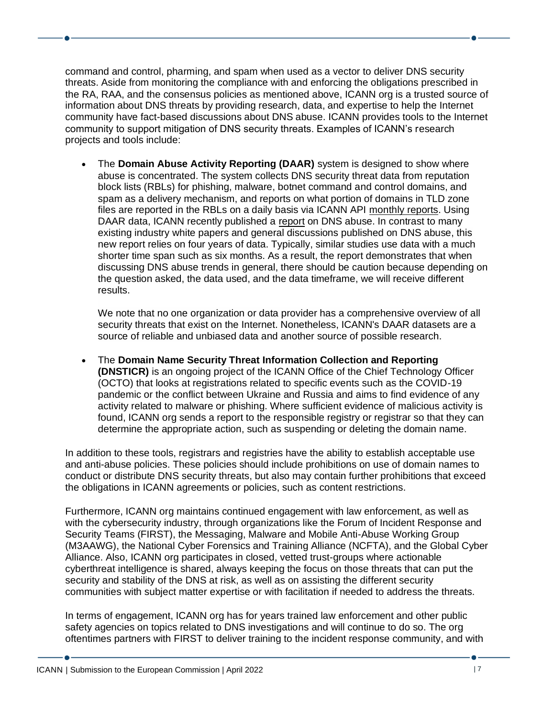command and control, pharming, and spam when used as a vector to deliver DNS security threats. Aside from monitoring the compliance with and enforcing the obligations prescribed in the RA, RAA, and the consensus policies as mentioned above, ICANN org is a trusted source of information about DNS threats by providing research, data, and expertise to help the Internet community have fact-based discussions about DNS abuse. ICANN provides tools to the Internet community to support mitigation of DNS security threats. Examples of ICANN's research projects and tools include:

• The **Domain Abuse Activity Reporting (DAAR)** system is designed to show where abuse is concentrated. The system collects DNS security threat data from reputation block lists (RBLs) for phishing, malware, botnet command and control domains, and spam as a delivery mechanism, and reports on what portion of domains in TLD zone files are reported in the RBLs on a daily basis via ICANN API [monthly reports.](https://www.icann.org/en/system/files/files/daar-monthly-report-28feb22-en.pdf) Using DAAR data, ICANN recently published a [report](https://www.icann.org/en/system/files/files/last-four-years-retrospect-brief-review-dns-abuse-trends-22mar22-en.pdf) on DNS abuse. In contrast to many existing industry white papers and general discussions published on DNS abuse, this new report relies on four years of data. Typically, similar studies use data with a much shorter time span such as six months. As a result, the report demonstrates that when discussing DNS abuse trends in general, there should be caution because depending on the question asked, the data used, and the data timeframe, we will receive different results.

We note that no one organization or data provider has a comprehensive overview of all security threats that exist on the Internet. Nonetheless, ICANN's DAAR datasets are a source of reliable and unbiased data and another source of possible research.

• The **Domain Name Security Threat Information Collection and Reporting (DNSTICR)** is an ongoing project of the ICANN Office of the Chief Technology Officer (OCTO) that looks at registrations related to specific events such as the COVID-19 pandemic or the conflict between Ukraine and Russia and aims to find evidence of any activity related to malware or phishing. Where sufficient evidence of malicious activity is found, ICANN org sends a report to the responsible registry or registrar so that they can determine the appropriate action, such as suspending or deleting the domain name.

In addition to these tools, registrars and registries have the ability to establish acceptable use and anti-abuse policies. These policies should include prohibitions on use of domain names to conduct or distribute DNS security threats, but also may contain further prohibitions that exceed the obligations in ICANN agreements or policies, such as content restrictions.

Furthermore, ICANN org maintains continued engagement with law enforcement, as well as with the cybersecurity industry, through organizations like the Forum of Incident Response and Security Teams (FIRST), the Messaging, Malware and Mobile Anti-Abuse Working Group (M3AAWG), the National Cyber Forensics and Training Alliance (NCFTA), and the Global Cyber Alliance. Also, ICANN org participates in closed, vetted trust-groups where actionable cyberthreat intelligence is shared, always keeping the focus on those threats that can put the security and stability of the DNS at risk, as well as on assisting the different security communities with subject matter expertise or with facilitation if needed to address the threats.

In terms of engagement, ICANN org has for years trained law enforcement and other public safety agencies on topics related to DNS investigations and will continue to do so. The org oftentimes partners with FIRST to deliver training to the incident response community, and with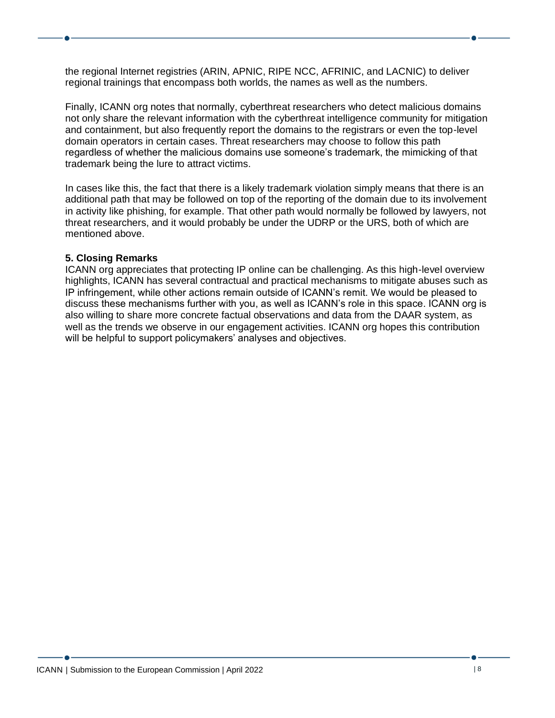the regional Internet registries (ARIN, APNIC, RIPE NCC, AFRINIC, and LACNIC) to deliver regional trainings that encompass both worlds, the names as well as the numbers.

Finally, ICANN org notes that normally, cyberthreat researchers who detect malicious domains not only share the relevant information with the cyberthreat intelligence community for mitigation and containment, but also frequently report the domains to the registrars or even the top-level domain operators in certain cases. Threat researchers may choose to follow this path regardless of whether the malicious domains use someone's trademark, the mimicking of that trademark being the lure to attract victims.

In cases like this, the fact that there is a likely trademark violation simply means that there is an additional path that may be followed on top of the reporting of the domain due to its involvement in activity like phishing, for example. That other path would normally be followed by lawyers, not threat researchers, and it would probably be under the UDRP or the URS, both of which are mentioned above.

#### **5. Closing Remarks**

ICANN org appreciates that protecting IP online can be challenging. As this high-level overview highlights, ICANN has several contractual and practical mechanisms to mitigate abuses such as IP infringement, while other actions remain outside of ICANN's remit. We would be pleased to discuss these mechanisms further with you, as well as ICANN's role in this space. ICANN org is also willing to share more concrete factual observations and data from the DAAR system, as well as the trends we observe in our engagement activities. ICANN org hopes this contribution will be helpful to support policymakers' analyses and objectives.